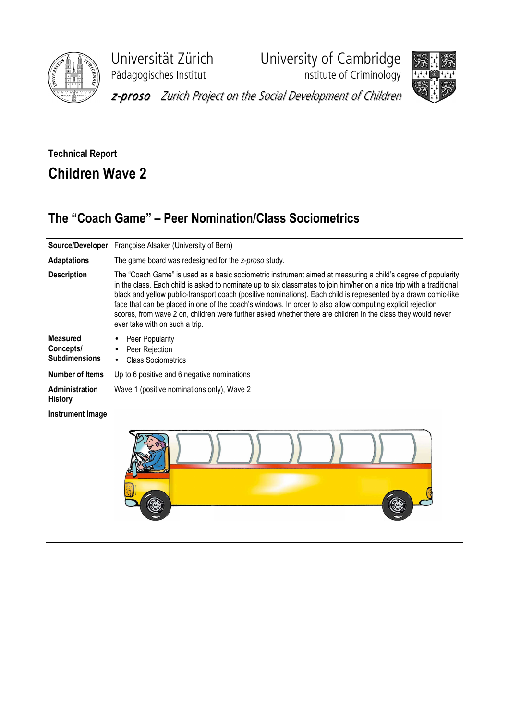

Pädagogisches Institut **Institute of Criminology** 

Universität Zürich University of Cambridge



z-proso Zurich Project on the Social Development of Children

## Technical Report Children Wave 2

## The "Coach Game" – Peer Nomination/Class Sociometrics

|                                                      | Source/Developer Françoise Alsaker (University of Bern)                                                                                                                                                                                                                                                                                                                                                                                                                                                                                                                                                                 |  |  |  |  |  |  |  |  |  |  |
|------------------------------------------------------|-------------------------------------------------------------------------------------------------------------------------------------------------------------------------------------------------------------------------------------------------------------------------------------------------------------------------------------------------------------------------------------------------------------------------------------------------------------------------------------------------------------------------------------------------------------------------------------------------------------------------|--|--|--|--|--|--|--|--|--|--|
| <b>Adaptations</b>                                   | The game board was redesigned for the z-proso study.                                                                                                                                                                                                                                                                                                                                                                                                                                                                                                                                                                    |  |  |  |  |  |  |  |  |  |  |
| <b>Description</b>                                   | The "Coach Game" is used as a basic sociometric instrument aimed at measuring a child's degree of popularity<br>in the class. Each child is asked to nominate up to six classmates to join him/her on a nice trip with a traditional<br>black and yellow public-transport coach (positive nominations). Each child is represented by a drawn comic-like<br>face that can be placed in one of the coach's windows. In order to also allow computing explicit rejection<br>scores, from wave 2 on, children were further asked whether there are children in the class they would never<br>ever take with on such a trip. |  |  |  |  |  |  |  |  |  |  |
| <b>Measured</b><br>Concepts/<br><b>Subdimensions</b> | Peer Popularity<br>Peer Rejection<br><b>Class Sociometrics</b>                                                                                                                                                                                                                                                                                                                                                                                                                                                                                                                                                          |  |  |  |  |  |  |  |  |  |  |
| <b>Number of Items</b>                               | Up to 6 positive and 6 negative nominations                                                                                                                                                                                                                                                                                                                                                                                                                                                                                                                                                                             |  |  |  |  |  |  |  |  |  |  |
| Administration<br><b>History</b>                     | Wave 1 (positive nominations only), Wave 2                                                                                                                                                                                                                                                                                                                                                                                                                                                                                                                                                                              |  |  |  |  |  |  |  |  |  |  |
| <b>Instrument Image</b>                              |                                                                                                                                                                                                                                                                                                                                                                                                                                                                                                                                                                                                                         |  |  |  |  |  |  |  |  |  |  |
|                                                      |                                                                                                                                                                                                                                                                                                                                                                                                                                                                                                                                                                                                                         |  |  |  |  |  |  |  |  |  |  |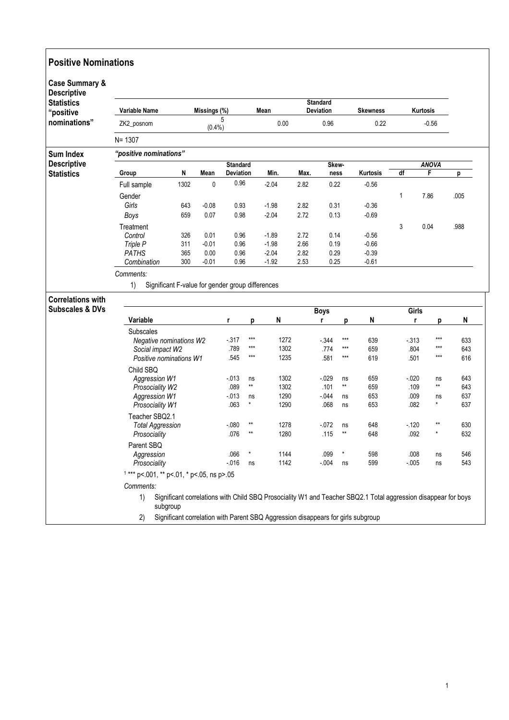| <b>Case Summary &amp;</b><br><b>Descriptive</b><br><b>Statistics</b><br>"positive | <b>Variable Name</b><br>Missings (%)        |            |         | Mean                     |                 |              | <b>Standard</b><br>Deviation |              |                | <b>Skewness</b>                                                                                                | <b>Kurtosis</b> |                |                   |  |  |
|-----------------------------------------------------------------------------------|---------------------------------------------|------------|---------|--------------------------|-----------------|--------------|------------------------------|--------------|----------------|----------------------------------------------------------------------------------------------------------------|-----------------|----------------|-------------------|--|--|
| nominations"                                                                      | ZK2_posnom                                  |            | (0.4% ) | 5                        |                 | 0.00         | 0.96                         |              |                | 0.22                                                                                                           | $-0.56$         |                |                   |  |  |
|                                                                                   | $N = 1307$                                  |            |         |                          |                 |              |                              |              |                |                                                                                                                |                 |                |                   |  |  |
| <b>Sum Index</b>                                                                  | "positive nominations"                      |            |         |                          |                 |              |                              |              |                |                                                                                                                |                 |                |                   |  |  |
| <b>Descriptive</b>                                                                |                                             |            |         | <b>Standard</b>          |                 |              |                              | Skew-        |                |                                                                                                                |                 | <b>ANOVA</b>   |                   |  |  |
| <b>Statistics</b>                                                                 | Group                                       | N          | Mean    | <b>Deviation</b><br>0.96 |                 | Min.         | Max.                         | ness         |                | Kurtosis                                                                                                       | df              | F              | р                 |  |  |
|                                                                                   | Full sample                                 | 1302       | 0       |                          |                 | $-2.04$      | 2.82                         | 0.22         |                | $-0.56$                                                                                                        |                 |                |                   |  |  |
|                                                                                   | Gender<br>Girls                             |            | $-0.08$ | 0.93                     |                 | $-1.98$      | 2.82                         | 0.31         |                | $-0.36$                                                                                                        | 1               | 7.86           | .005              |  |  |
|                                                                                   | <b>Boys</b>                                 | 643<br>659 | 0.07    | 0.98                     |                 | $-2.04$      | 2.72                         | 0.13         |                | $-0.69$                                                                                                        |                 |                |                   |  |  |
|                                                                                   |                                             |            |         |                          |                 |              |                              |              |                |                                                                                                                |                 |                |                   |  |  |
|                                                                                   | Treatment<br>Control                        | 326        | 0.01    | 0.96                     |                 | $-1.89$      | 2.72                         | 0.14         |                | $-0.56$                                                                                                        | 3               | 0.04           | .988              |  |  |
|                                                                                   | Triple P                                    | 311        | $-0.01$ | 0.96                     |                 | $-1.98$      | 2.66                         | 0.19         |                | $-0.66$                                                                                                        |                 |                |                   |  |  |
|                                                                                   | <b>PATHS</b>                                | 365        | 0.00    | 0.96                     |                 | $-2.04$      | 2.82                         | 0.29         |                | $-0.39$                                                                                                        |                 |                |                   |  |  |
|                                                                                   | Combination                                 | 300        | $-0.01$ | 0.96                     |                 | $-1.92$      | 2.53                         | 0.25         |                | $-0.61$                                                                                                        |                 |                |                   |  |  |
| <b>Correlations with</b><br><b>Subscales &amp; DVs</b>                            |                                             |            |         |                          |                 |              |                              | <b>Boys</b>  |                |                                                                                                                |                 | Girls          |                   |  |  |
|                                                                                   | Variable                                    |            |         | r                        | p               | N            |                              | r            | р              | N                                                                                                              |                 | r<br>p         | N                 |  |  |
|                                                                                   | <b>Subscales</b>                            |            |         |                          |                 |              |                              |              |                |                                                                                                                |                 |                |                   |  |  |
|                                                                                   | Negative nominations W2                     |            |         | $-317$                   | $***$<br>$***$  | 1272         |                              | $-344$       | $***$<br>$***$ | 639                                                                                                            | $-313$          | $***$<br>$***$ | 633               |  |  |
|                                                                                   | Social impact W2<br>Positive nominations W1 |            |         | .789<br>.545             | ***             | 1302<br>1235 |                              | .774<br>.581 | $***$          | 659<br>619                                                                                                     | .804<br>.501    | $***$          | 643<br>616        |  |  |
|                                                                                   | Child SBQ                                   |            |         |                          |                 |              |                              |              |                |                                                                                                                |                 |                |                   |  |  |
|                                                                                   | <b>Aggression W1</b>                        |            |         | $-013$                   | ns              | 1302         |                              | $-029$       | ns             | 659                                                                                                            | $-0.020$        | ns             | 643               |  |  |
|                                                                                   | Prosociality W2                             |            |         | .089                     | $^{\star\star}$ | 1302         |                              | .101         | **             | 659                                                                                                            | .109            | **             | 643               |  |  |
|                                                                                   | <b>Aggression W1</b>                        |            |         | $-013$                   | ns              | 1290         |                              | - 044        | ns             | 653                                                                                                            | .009            | ns             | 637               |  |  |
|                                                                                   | Prosociality W1                             |            |         | .063                     | $\star$         | 1290         |                              | .068         | ns             | 653                                                                                                            | .082            | $^{\star}$     | 637               |  |  |
|                                                                                   |                                             |            |         |                          |                 |              |                              |              |                |                                                                                                                |                 |                |                   |  |  |
|                                                                                   | Teacher SBQ2.1                              |            |         |                          |                 | 1278         |                              | $-072$       | ns             | 648                                                                                                            | $-120$          | $***$<br>*     | 630               |  |  |
|                                                                                   | <b>Total Aggression</b>                     |            |         | $-080$                   | $**$            |              |                              |              |                |                                                                                                                |                 |                |                   |  |  |
|                                                                                   | Prosociality                                |            |         | .076                     | $**$            | 1280         |                              | .115         | $**$           | 648                                                                                                            | .092            |                |                   |  |  |
|                                                                                   | Parent SBQ                                  |            |         |                          |                 |              |                              |              |                |                                                                                                                |                 |                |                   |  |  |
|                                                                                   | Aggression                                  |            |         | .066                     |                 | 1144         |                              | .099         |                | 598                                                                                                            | .008            | ns             |                   |  |  |
|                                                                                   | Prosociality                                |            |         | $-0.16$                  | ns              | 1142         |                              | $-0.04$      | ns             | 599                                                                                                            | $-0.005$        | ns             |                   |  |  |
|                                                                                   | $1***$ p<.001, ** p<.01, * p<.05, ns p>.05  |            |         |                          |                 |              |                              |              |                |                                                                                                                |                 |                |                   |  |  |
|                                                                                   | Comments:<br>1)                             |            |         |                          |                 |              |                              |              |                | Significant correlations with Child SBQ Prosociality W1 and Teacher SBQ2.1 Total aggression disappear for boys |                 |                | 632<br>546<br>543 |  |  |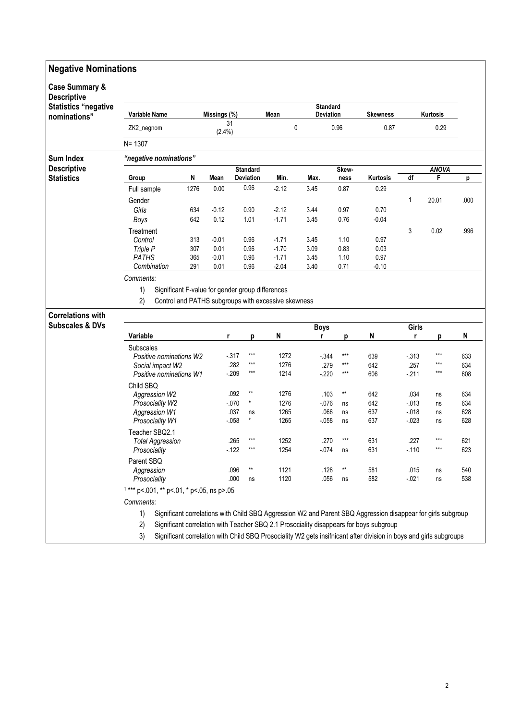| <b>Negative Nominations</b>                     |                                                        |                                            |              |         |                                     |                                                     |                              |                 |                                                                                                                    |                |                   |            |  |
|-------------------------------------------------|--------------------------------------------------------|--------------------------------------------|--------------|---------|-------------------------------------|-----------------------------------------------------|------------------------------|-----------------|--------------------------------------------------------------------------------------------------------------------|----------------|-------------------|------------|--|
| <b>Case Summary &amp;</b><br><b>Descriptive</b> |                                                        |                                            |              |         |                                     |                                                     |                              |                 |                                                                                                                    |                |                   |            |  |
| <b>Statistics "negative</b><br>nominations"     | Variable Name<br>Missings (%)                          |                                            |              |         |                                     | Mean                                                | <b>Standard</b><br>Deviation | <b>Skewness</b> | Kurtosis                                                                                                           |                |                   |            |  |
|                                                 | ZK2_negnom                                             |                                            | 31<br>(2.4%) |         |                                     | 0                                                   | 0.96                         | 0.87            | 0.29                                                                                                               |                |                   |            |  |
|                                                 | $N = 1307$                                             |                                            |              |         |                                     |                                                     |                              |                 |                                                                                                                    |                |                   |            |  |
| <b>Sum Index</b>                                |                                                        | "negative nominations"                     |              |         |                                     |                                                     |                              |                 |                                                                                                                    |                |                   |            |  |
| <b>Descriptive</b><br><b>Statistics</b>         | Group                                                  |                                            | N            | Mean    | <b>Standard</b><br><b>Deviation</b> | Min.                                                | Max.                         | Skew-<br>ness   | Kurtosis                                                                                                           | df             | <b>ANOVA</b><br>F | р          |  |
|                                                 | Full sample                                            |                                            | 1276         | 0.00    | 0.96                                | $-2.12$                                             | 3.45                         | 0.87            | 0.29                                                                                                               |                |                   |            |  |
|                                                 | Gender                                                 |                                            |              |         |                                     |                                                     |                              |                 |                                                                                                                    | 1              | 20.01             | .000       |  |
|                                                 | Girls                                                  |                                            | 634          | $-0.12$ | 0.90                                | $-2.12$                                             | 3.44                         | 0.97            | 0.70                                                                                                               |                |                   |            |  |
|                                                 | Boys                                                   |                                            | 642          | 0.12    | 1.01                                | $-1.71$                                             | 3.45                         | 0.76            | $-0.04$                                                                                                            |                |                   |            |  |
|                                                 | Treatment                                              |                                            |              |         |                                     |                                                     |                              |                 |                                                                                                                    | 3              | 0.02              | .996       |  |
|                                                 | Control                                                |                                            | 313          | $-0.01$ | 0.96                                | $-1.71$                                             | 3.45                         | 1.10            | 0.97                                                                                                               |                |                   |            |  |
|                                                 | Triple P                                               |                                            | 307          | 0.01    | 0.96                                | $-1.70$                                             | 3.09                         | 0.83            | 0.03                                                                                                               |                |                   |            |  |
|                                                 | <b>PATHS</b>                                           |                                            | 365          | $-0.01$ | 0.96                                | $-1.71$                                             | 3.45                         | 1.10            | 0.97                                                                                                               |                |                   |            |  |
|                                                 | Combination                                            |                                            | 291          | 0.01    | 0.96                                | $-2.04$                                             | 3.40                         | 0.71            | $-0.10$                                                                                                            |                |                   |            |  |
|                                                 | Comments:                                              |                                            |              |         |                                     |                                                     |                              |                 |                                                                                                                    |                |                   |            |  |
|                                                 | 1)<br>Significant F-value for gender group differences |                                            |              |         |                                     |                                                     |                              |                 |                                                                                                                    |                |                   |            |  |
|                                                 | 2)                                                     |                                            |              |         |                                     | Control and PATHS subgroups with excessive skewness |                              |                 |                                                                                                                    |                |                   |            |  |
|                                                 |                                                        |                                            |              |         |                                     |                                                     |                              |                 |                                                                                                                    |                |                   |            |  |
| <b>Correlations with</b>                        |                                                        |                                            |              |         |                                     |                                                     |                              |                 |                                                                                                                    |                |                   |            |  |
| <b>Subscales &amp; DVs</b>                      |                                                        |                                            |              |         |                                     |                                                     | <b>Boys</b>                  |                 |                                                                                                                    | Girls          |                   |            |  |
|                                                 | Variable                                               |                                            |              | r       | p                                   | N                                                   | r                            | Ŋ               | N                                                                                                                  | r              | p                 | N          |  |
|                                                 | <b>Subscales</b>                                       |                                            |              |         |                                     |                                                     |                              |                 |                                                                                                                    |                |                   |            |  |
|                                                 |                                                        | Positive nominations W2                    |              |         | $***$<br>$-317$<br>$***$            | 1272                                                | $-344$                       | $***$<br>$***$  | 639                                                                                                                | $-313$         | ***<br>$***$      | 633        |  |
|                                                 |                                                        | Social impact W2                           |              |         | .282<br>$***$<br>$-209$             | 1276<br>1214                                        | .279                         | $***$           | 642                                                                                                                | .257           | $***$             | 634        |  |
|                                                 |                                                        | Positive nominations W1                    |              |         |                                     |                                                     | $-220$                       |                 | 606                                                                                                                | $-211$         |                   | 608        |  |
|                                                 | Child SBQ                                              |                                            |              |         | $\star\star$                        |                                                     |                              |                 |                                                                                                                    |                |                   |            |  |
|                                                 |                                                        | Aggression W2                              |              |         | .092<br>$-070$<br>$\star$           | 1276<br>1276                                        | .103<br>$-0.076$             | $**$            | 642<br>642                                                                                                         | .034<br>$-013$ | ns                | 634<br>634 |  |
|                                                 |                                                        | Prosociality W2<br><b>Aggression W1</b>    |              |         | .037<br>ns                          | 1265                                                | .066                         | ns<br>ns        | 637                                                                                                                | $-0.18$        | ns<br>ns          | 628        |  |
|                                                 |                                                        | Prosociality W1                            |              |         | $\pmb{\ast}$<br>$-0.058$            | 1265                                                | $-058$                       | ns              | 637                                                                                                                | $-023$         | ns                | 628        |  |
|                                                 |                                                        | Teacher SBQ2.1                             |              |         |                                     |                                                     |                              |                 |                                                                                                                    |                |                   |            |  |
|                                                 |                                                        |                                            |              |         | $***$<br>.265                       | 1252                                                | .270                         | $***$           | 631                                                                                                                | .227           | $***$             | 621        |  |
|                                                 | Prosociality                                           | <b>Total Aggression</b>                    |              |         | $***$<br>$-122$                     | 1254                                                | $-074$                       | ns              | 631                                                                                                                | $-.110$        | $***$             | 623        |  |
|                                                 | Parent SBQ                                             |                                            |              |         |                                     |                                                     |                              |                 |                                                                                                                    |                |                   |            |  |
|                                                 | Aggression                                             |                                            |              |         | $^{\star\star}$<br>.096             | 1121                                                | .128                         | **              | 581                                                                                                                | .015           | ns                | 540        |  |
|                                                 | Prosociality                                           |                                            |              |         | .000<br>ns                          | 1120                                                | .056                         | ns              | 582                                                                                                                | $-0.021$       | ns                | 538        |  |
|                                                 |                                                        | $1***$ p<.001, ** p<.01, * p<.05, ns p>.05 |              |         |                                     |                                                     |                              |                 |                                                                                                                    |                |                   |            |  |
|                                                 |                                                        |                                            |              |         |                                     |                                                     |                              |                 |                                                                                                                    |                |                   |            |  |
|                                                 | Comments:                                              |                                            |              |         |                                     |                                                     |                              |                 |                                                                                                                    |                |                   |            |  |
|                                                 | 1)                                                     |                                            |              |         |                                     |                                                     |                              |                 | Significant correlations with Child SBQ Aggression W2 and Parent SBQ Aggression disappear for girls subgroup       |                |                   |            |  |
|                                                 | 2)                                                     |                                            |              |         |                                     |                                                     |                              |                 | Significant correlation with Teacher SBQ 2.1 Prosociality disappears for boys subgroup                             |                |                   |            |  |
|                                                 | 3)                                                     |                                            |              |         |                                     |                                                     |                              |                 | Significant correlation with Child SBQ Prosociality W2 gets insifnicant after division in boys and girls subgroups |                |                   |            |  |

3) Significant correlation with Child SBQ Prosociality W2 gets insifnicant after division in boys and girls subgroups